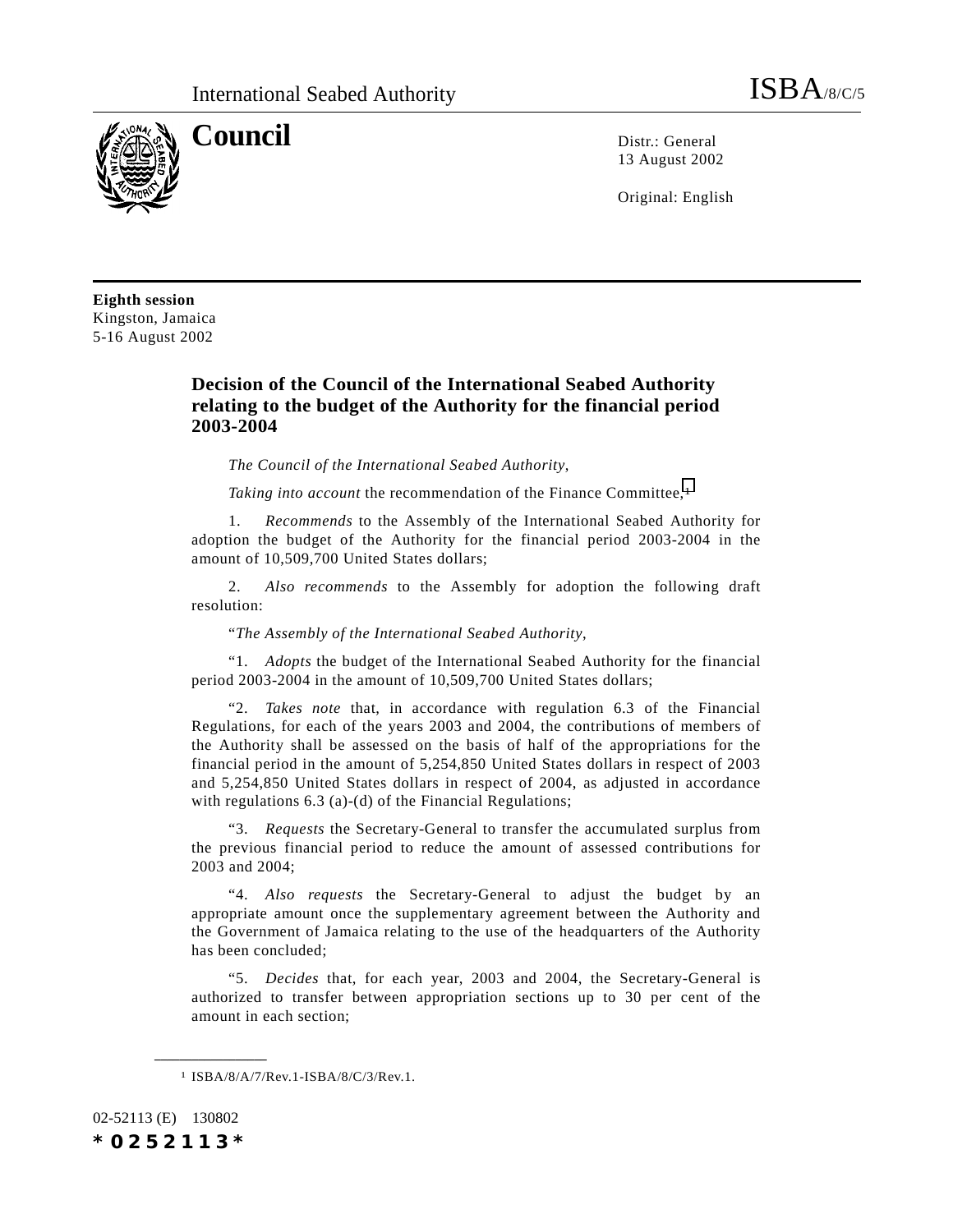

**Council** Distribution Distribution Distribution Distribution Distribution Distribution Distribution Distribution Distribution Distribution Distribution Distribution Distribution Distribution Distribution Distribution Dist 13 August 2002

Original: English

**Eighth session** Kingston, Jamaica 5-16 August 2002

## **Decision of the Council of the International Seabed Authority relating to the budget of the Authority for the financial period 2003-2004**

*The Council of the International Seabed Authority*,

*Taking into account* the recommendation of the Finance Committee,<sup>1</sup>

1. *Recommends* to the Assembly of the International Seabed Authority for adoption the budget of the Authority for the financial period 2003-2004 in the amount of 10,509,700 United States dollars;

2. *Also recommends* to the Assembly for adoption the following draft resolution:

"*The Assembly of the International Seabed Authority*,

"1. *Adopts* the budget of the International Seabed Authority for the financial period 2003-2004 in the amount of 10,509,700 United States dollars;

"2. *Takes note* that, in accordance with regulation 6.3 of the Financial Regulations, for each of the years 2003 and 2004, the contributions of members of the Authority shall be assessed on the basis of half of the appropriations for the financial period in the amount of 5,254,850 United States dollars in respect of 2003 and 5,254,850 United States dollars in respect of 2004, as adjusted in accordance with regulations 6.3 (a)-(d) of the Financial Regulations;

"3. *Requests* the Secretary-General to transfer the accumulated surplus from the previous financial period to reduce the amount of assessed contributions for 2003 and 2004;

"4. *Also requests* the Secretary-General to adjust the budget by an appropriate amount once the supplementary agreement between the Authority and the Government of Jamaica relating to the use of the headquarters of the Authority has been concluded;

"5. *Decides* that, for each year, 2003 and 2004, the Secretary-General is authorized to transfer between appropriation sections up to 30 per cent of the amount in each section;

02-52113 (E) 130802 *\*0252113\**

**\_\_\_\_\_\_\_\_\_\_\_\_\_\_\_\_\_\_**

<sup>1</sup> ISBA/8/A/7/Rev.1-ISBA/8/C/3/Rev.1.